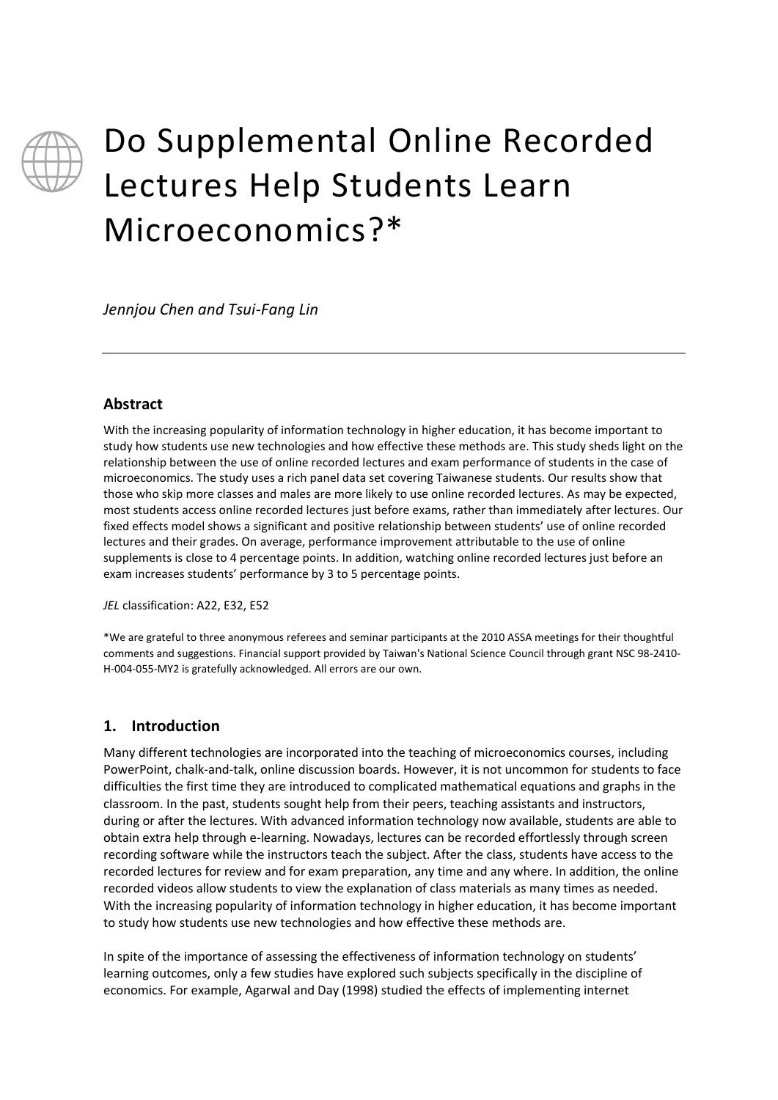

# Do Supplemental Online Recorded Lectures Help Students Learn Microeconomics?\*

*Jennjou Chen and Tsui-Fang Lin*

#### **Abstract**

With the increasing popularity of information technology in higher education, it has become important to study how students use new technologies and how effective these methods are. This study sheds light on the relationship between the use of online recorded lectures and exam performance of students in the case of microeconomics. The study uses a rich panel data set covering Taiwanese students. Our results show that those who skip more classes and males are more likely to use online recorded lectures. As may be expected, most students access online recorded lectures just before exams, rather than immediately after lectures. Our fixed effects model shows a significant and positive relationship between students' use of online recorded lectures and their grades. On average, performance improvement attributable to the use of online supplements is close to 4 percentage points. In addition, watching online recorded lectures just before an exam increases students' performance by 3 to 5 percentage points.

*JEL* classification: A22, E32, E52

\*We are grateful to three anonymous referees and seminar participants at the 2010 ASSA meetings for their thoughtful comments and suggestions. Financial support provided by Taiwan's National Science Council through grant NSC 98-2410- H-004-055-MY2 is gratefully acknowledged. All errors are our own.

#### **1. Introduction**

Many different technologies are incorporated into the teaching of microeconomics courses, including PowerPoint, chalk-and-talk, online discussion boards. However, it is not uncommon for students to face difficulties the first time they are introduced to complicated mathematical equations and graphs in the classroom. In the past, students sought help from their peers, teaching assistants and instructors, during or after the lectures. With advanced information technology now available, students are able to obtain extra help through e-learning. Nowadays, lectures can be recorded effortlessly through screen recording software while the instructors teach the subject. After the class, students have access to the recorded lectures for review and for exam preparation, any time and any where. In addition, the online recorded videos allow students to view the explanation of class materials as many times as needed. With the increasing popularity of information technology in higher education, it has become important to study how students use new technologies and how effective these methods are.

In spite of the importance of assessing the effectiveness of information technology on students' learning outcomes, only a few studies have explored such subjects specifically in the discipline of economics. For example, Agarwal and Day (1998) studied the effects of implementing internet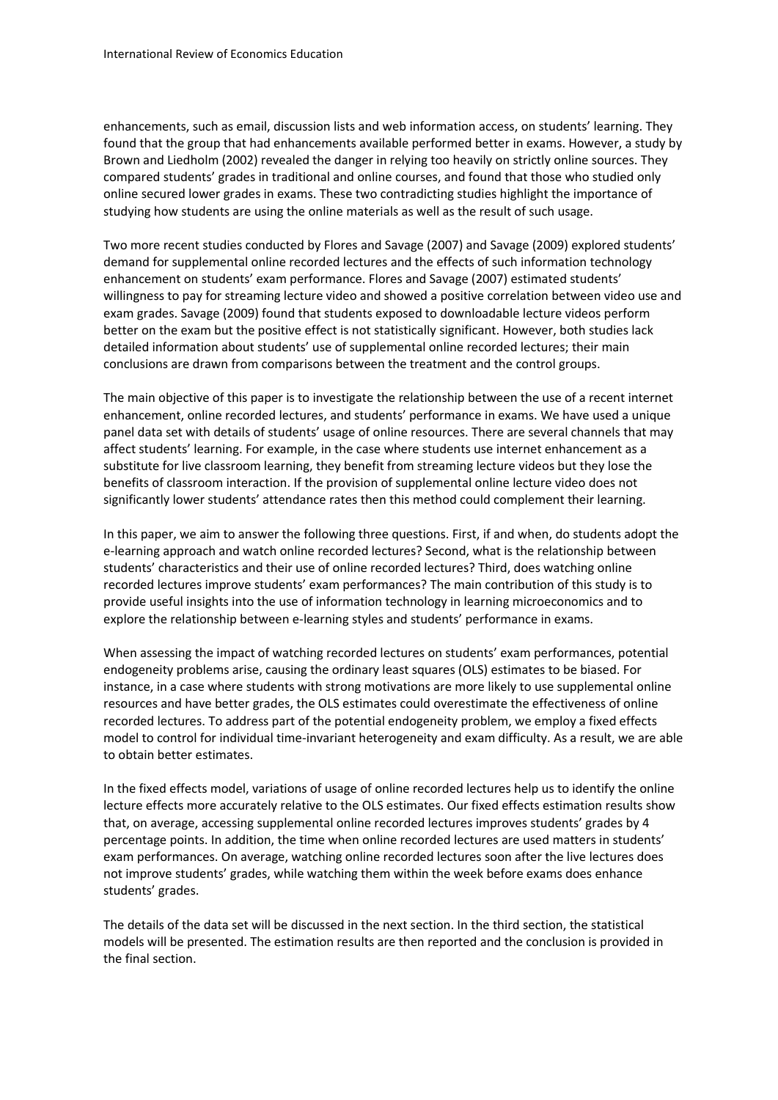enhancements, such as email, discussion lists and web information access, on students' learning. They found that the group that had enhancements available performed better in exams. However, a study by Brown and Liedholm (2002) revealed the danger in relying too heavily on strictly online sources. They compared students' grades in traditional and online courses, and found that those who studied only online secured lower grades in exams. These two contradicting studies highlight the importance of studying how students are using the online materials as well as the result of such usage.

Two more recent studies conducted by Flores and Savage (2007) and Savage (2009) explored students' demand for supplemental online recorded lectures and the effects of such information technology enhancement on students' exam performance. Flores and Savage (2007) estimated students' willingness to pay for streaming lecture video and showed a positive correlation between video use and exam grades. Savage (2009) found that students exposed to downloadable lecture videos perform better on the exam but the positive effect is not statistically significant. However, both studies lack detailed information about students' use of supplemental online recorded lectures; their main conclusions are drawn from comparisons between the treatment and the control groups.

The main objective of this paper is to investigate the relationship between the use of a recent internet enhancement, online recorded lectures, and students' performance in exams. We have used a unique panel data set with details of students' usage of online resources. There are several channels that may affect students' learning. For example, in the case where students use internet enhancement as a substitute for live classroom learning, they benefit from streaming lecture videos but they lose the benefits of classroom interaction. If the provision of supplemental online lecture video does not significantly lower students' attendance rates then this method could complement their learning.

In this paper, we aim to answer the following three questions. First, if and when, do students adopt the e-learning approach and watch online recorded lectures? Second, what is the relationship between students' characteristics and their use of online recorded lectures? Third, does watching online recorded lectures improve students' exam performances? The main contribution of this study is to provide useful insights into the use of information technology in learning microeconomics and to explore the relationship between e-learning styles and students' performance in exams.

When assessing the impact of watching recorded lectures on students' exam performances, potential endogeneity problems arise, causing the ordinary least squares (OLS) estimates to be biased. For instance, in a case where students with strong motivations are more likely to use supplemental online resources and have better grades, the OLS estimates could overestimate the effectiveness of online recorded lectures. To address part of the potential endogeneity problem, we employ a fixed effects model to control for individual time-invariant heterogeneity and exam difficulty. As a result, we are able to obtain better estimates.

In the fixed effects model, variations of usage of online recorded lectures help us to identify the online lecture effects more accurately relative to the OLS estimates. Our fixed effects estimation results show that, on average, accessing supplemental online recorded lectures improves students' grades by 4 percentage points. In addition, the time when online recorded lectures are used matters in students' exam performances. On average, watching online recorded lectures soon after the live lectures does not improve students' grades, while watching them within the week before exams does enhance students' grades.

The details of the data set will be discussed in the next section. In the third section, the statistical models will be presented. The estimation results are then reported and the conclusion is provided in the final section.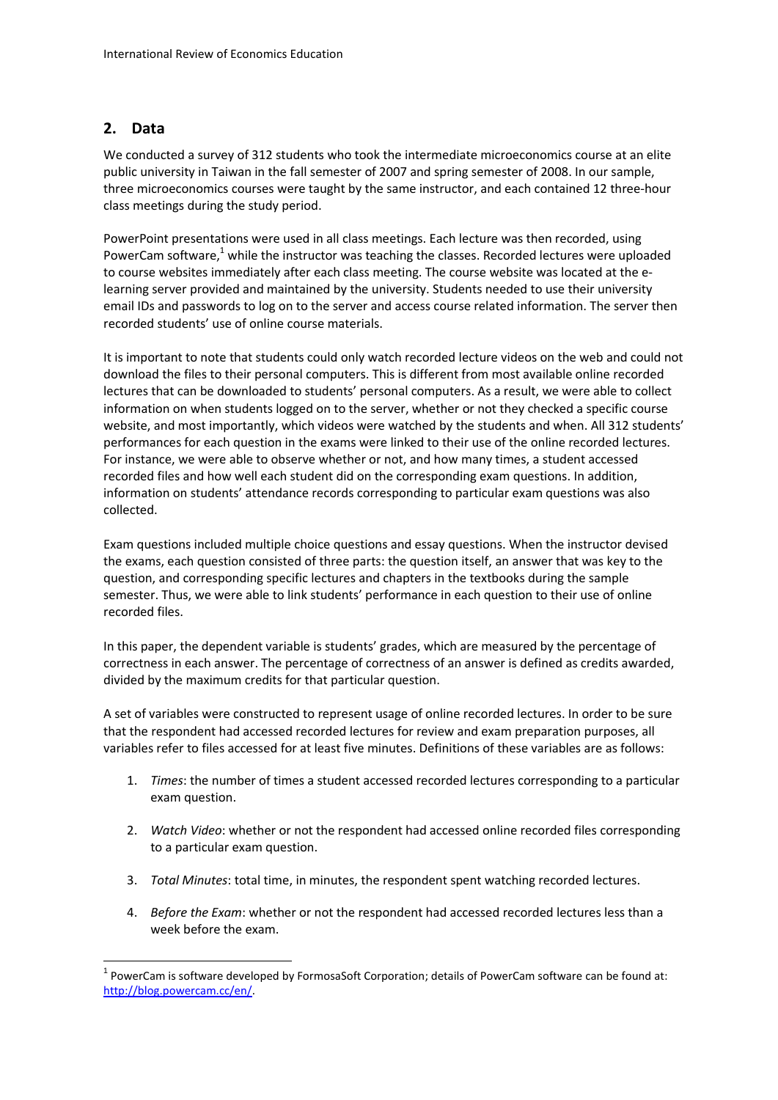## **2. Data**

 $\overline{a}$ 

We conducted a survey of 312 students who took the intermediate microeconomics course at an elite public university in Taiwan in the fall semester of 2007 and spring semester of 2008. In our sample, three microeconomics courses were taught by the same instructor, and each contained 12 three-hour class meetings during the study period.

PowerPoint presentations were used in all class meetings. Each lecture was then recorded, using PowerCam software, $1$  while the instructor was teaching the classes. Recorded lectures were uploaded to course websites immediately after each class meeting. The course website was located at the elearning server provided and maintained by the university. Students needed to use their university email IDs and passwords to log on to the server and access course related information. The server then recorded students' use of online course materials.

It is important to note that students could only watch recorded lecture videos on the web and could not download the files to their personal computers. This is different from most available online recorded lectures that can be downloaded to students' personal computers. As a result, we were able to collect information on when students logged on to the server, whether or not they checked a specific course website, and most importantly, which videos were watched by the students and when. All 312 students' performances for each question in the exams were linked to their use of the online recorded lectures. For instance, we were able to observe whether or not, and how many times, a student accessed recorded files and how well each student did on the corresponding exam questions. In addition, information on students' attendance records corresponding to particular exam questions was also collected.

Exam questions included multiple choice questions and essay questions. When the instructor devised the exams, each question consisted of three parts: the question itself, an answer that was key to the question, and corresponding specific lectures and chapters in the textbooks during the sample semester. Thus, we were able to link students' performance in each question to their use of online recorded files.

In this paper, the dependent variable is students' grades, which are measured by the percentage of correctness in each answer. The percentage of correctness of an answer is defined as credits awarded, divided by the maximum credits for that particular question.

A set of variables were constructed to represent usage of online recorded lectures. In order to be sure that the respondent had accessed recorded lectures for review and exam preparation purposes, all variables refer to files accessed for at least five minutes. Definitions of these variables are as follows:

- 1. *Times*: the number of times a student accessed recorded lectures corresponding to a particular exam question.
- 2. *Watch Video*: whether or not the respondent had accessed online recorded files corresponding to a particular exam question.
- 3. *Total Minutes*: total time, in minutes, the respondent spent watching recorded lectures.
- 4. *Before the Exam*: whether or not the respondent had accessed recorded lectures less than a week before the exam.

 $1$  PowerCam is software developed by FormosaSoft Corporation; details of PowerCam software can be found at: [http://blog.powercam.cc/en/.](http://blog.powercam.cc/en/)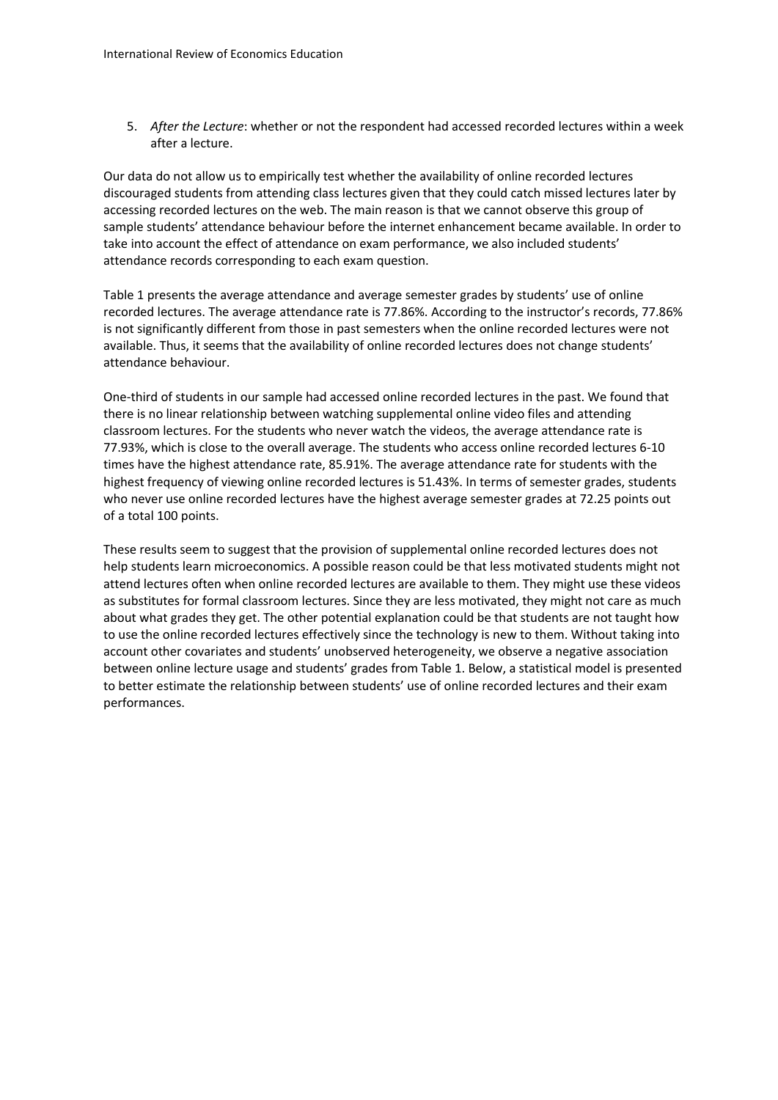5. *After the Lecture*: whether or not the respondent had accessed recorded lectures within a week after a lecture.

Our data do not allow us to empirically test whether the availability of online recorded lectures discouraged students from attending class lectures given that they could catch missed lectures later by accessing recorded lectures on the web. The main reason is that we cannot observe this group of sample students' attendance behaviour before the internet enhancement became available. In order to take into account the effect of attendance on exam performance, we also included students' attendance records corresponding to each exam question.

Table 1 presents the average attendance and average semester grades by students' use of online recorded lectures. The average attendance rate is 77.86%. According to the instructor's records, 77.86% is not significantly different from those in past semesters when the online recorded lectures were not available. Thus, it seems that the availability of online recorded lectures does not change students' attendance behaviour.

One-third of students in our sample had accessed online recorded lectures in the past. We found that there is no linear relationship between watching supplemental online video files and attending classroom lectures. For the students who never watch the videos, the average attendance rate is 77.93%, which is close to the overall average. The students who access online recorded lectures 6-10 times have the highest attendance rate, 85.91%. The average attendance rate for students with the highest frequency of viewing online recorded lectures is 51.43%. In terms of semester grades, students who never use online recorded lectures have the highest average semester grades at 72.25 points out of a total 100 points.

These results seem to suggest that the provision of supplemental online recorded lectures does not help students learn microeconomics. A possible reason could be that less motivated students might not attend lectures often when online recorded lectures are available to them. They might use these videos as substitutes for formal classroom lectures. Since they are less motivated, they might not care as much about what grades they get. The other potential explanation could be that students are not taught how to use the online recorded lectures effectively since the technology is new to them. Without taking into account other covariates and students' unobserved heterogeneity, we observe a negative association between online lecture usage and students' grades from Table 1. Below, a statistical model is presented to better estimate the relationship between students' use of online recorded lectures and their exam performances.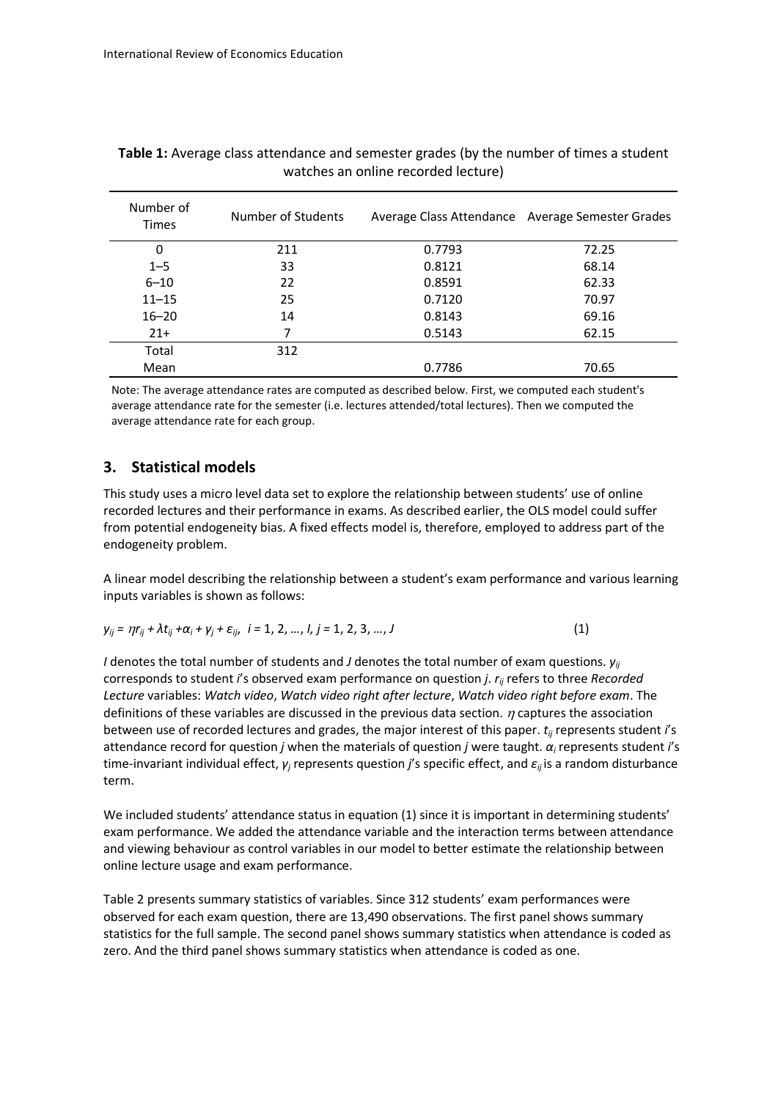| Number of<br><b>Times</b> | Number of Students |        | Average Class Attendance Average Semester Grades |
|---------------------------|--------------------|--------|--------------------------------------------------|
| 0                         | 211                | 0.7793 | 72.25                                            |
| $1 - 5$                   | 33                 | 0.8121 | 68.14                                            |
| $6 - 10$                  | 22                 | 0.8591 | 62.33                                            |
| $11 - 15$                 | 25                 | 0.7120 | 70.97                                            |
| $16 - 20$                 | 14                 | 0.8143 | 69.16                                            |
| $21+$                     | 7                  | 0.5143 | 62.15                                            |
| Total                     | 312                |        |                                                  |
| Mean                      |                    | 0.7786 | 70.65                                            |

| <b>Table 1:</b> Average class attendance and semester grades (by the number of times a student |  |  |  |  |  |  |  |
|------------------------------------------------------------------------------------------------|--|--|--|--|--|--|--|
| watches an online recorded lecture)                                                            |  |  |  |  |  |  |  |

Note: The average attendance rates are computed as described below. First, we computed each student's average attendance rate for the semester (i.e. lectures attended/total lectures). Then we computed the average attendance rate for each group.

## **3. Statistical models**

This study uses a micro level data set to explore the relationship between students' use of online recorded lectures and their performance in exams. As described earlier, the OLS model could suffer from potential endogeneity bias. A fixed effects model is, therefore, employed to address part of the endogeneity problem.

A linear model describing the relationship between a student's exam performance and various learning inputs variables is shown as follows:

$$
y_{ij} = \eta r_{ij} + \lambda t_{ij} + \alpha_i + \gamma_j + \varepsilon_{ij}, \quad i = 1, 2, ..., l, j = 1, 2, 3, ..., J
$$
 (1)

*I* denotes the total number of students and *J* denotes the total number of exam questions.  $y_i$ corresponds to student *i*'s observed exam performance on question *j*. *rij* refers to three *Recorded Lecture* variables: *Watch video*, *Watch video right after lecture*, *Watch video right before exam*. The definitions of these variables are discussed in the previous data section.  $\eta$  captures the association between use of recorded lectures and grades, the major interest of this paper. *tij* represents student *i*'s attendance record for question *j* when the materials of question *j* were taught. *α<sup>i</sup>* represents student *i*'s time-invariant individual effect, *γ<sup>j</sup>* represents question *j*'s specific effect, and *εij* is a random disturbance term.

We included students' attendance status in equation (1) since it is important in determining students' exam performance. We added the attendance variable and the interaction terms between attendance and viewing behaviour as control variables in our model to better estimate the relationship between online lecture usage and exam performance.

Table 2 presents summary statistics of variables. Since 312 students' exam performances were observed for each exam question, there are 13,490 observations. The first panel shows summary statistics for the full sample. The second panel shows summary statistics when attendance is coded as zero. And the third panel shows summary statistics when attendance is coded as one.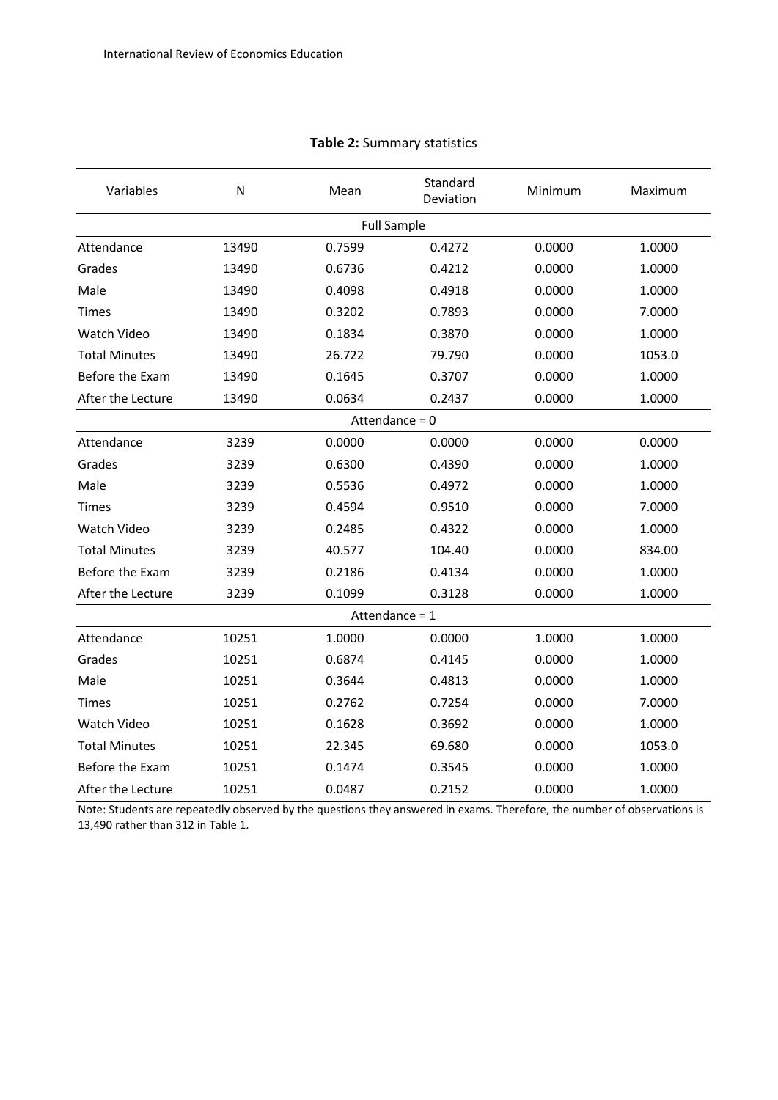| Variables            | $\mathsf{N}$ | Mean   | Standard<br>Deviation | Minimum | Maximum |  |  |  |  |  |
|----------------------|--------------|--------|-----------------------|---------|---------|--|--|--|--|--|
| <b>Full Sample</b>   |              |        |                       |         |         |  |  |  |  |  |
| Attendance           | 13490        | 0.7599 | 0.4272                | 0.0000  | 1.0000  |  |  |  |  |  |
| Grades               | 13490        | 0.6736 | 0.4212                | 0.0000  | 1.0000  |  |  |  |  |  |
| Male                 | 13490        | 0.4098 | 0.4918                | 0.0000  | 1.0000  |  |  |  |  |  |
| <b>Times</b>         | 13490        | 0.3202 | 0.7893                | 0.0000  | 7.0000  |  |  |  |  |  |
| Watch Video          | 13490        | 0.1834 | 0.3870                | 0.0000  | 1.0000  |  |  |  |  |  |
| <b>Total Minutes</b> | 13490        | 26.722 | 79.790                | 0.0000  | 1053.0  |  |  |  |  |  |
| Before the Exam      | 13490        | 0.1645 | 0.3707                | 0.0000  |         |  |  |  |  |  |
| After the Lecture    | 13490        | 0.0634 | 0.2437                | 0.0000  | 1.0000  |  |  |  |  |  |
| Attendance = $0$     |              |        |                       |         |         |  |  |  |  |  |
| Attendance           | 3239         | 0.0000 | 0.0000                | 0.0000  | 0.0000  |  |  |  |  |  |
| Grades               | 3239         | 0.6300 | 0.4390                | 0.0000  | 1.0000  |  |  |  |  |  |
| Male                 | 3239         | 0.5536 | 0.4972                | 0.0000  | 1.0000  |  |  |  |  |  |
| <b>Times</b>         | 3239         | 0.4594 | 0.9510                | 0.0000  | 7.0000  |  |  |  |  |  |
| Watch Video          | 3239         | 0.2485 | 0.4322                | 0.0000  | 1.0000  |  |  |  |  |  |
| <b>Total Minutes</b> | 3239         | 40.577 | 104.40                | 0.0000  | 834.00  |  |  |  |  |  |
| Before the Exam      | 3239         | 0.2186 | 0.4134                | 0.0000  | 1.0000  |  |  |  |  |  |
| After the Lecture    | 3239         | 0.1099 | 0.3128                | 0.0000  | 1.0000  |  |  |  |  |  |
| Attendance = $1$     |              |        |                       |         |         |  |  |  |  |  |
| Attendance           | 10251        | 1.0000 | 0.0000                | 1.0000  | 1.0000  |  |  |  |  |  |
| Grades               | 10251        | 0.6874 | 0.4145                | 0.0000  | 1.0000  |  |  |  |  |  |
| Male                 | 10251        | 0.3644 | 0.4813                | 0.0000  | 1.0000  |  |  |  |  |  |
| <b>Times</b>         | 10251        | 0.2762 | 0.7254                | 0.0000  | 7.0000  |  |  |  |  |  |
| Watch Video          | 10251        | 0.1628 | 0.3692                | 0.0000  | 1.0000  |  |  |  |  |  |
| <b>Total Minutes</b> | 10251        | 22.345 | 69.680                | 0.0000  | 1053.0  |  |  |  |  |  |
| Before the Exam      | 10251        | 0.1474 | 0.3545                | 0.0000  | 1.0000  |  |  |  |  |  |
| After the Lecture    | 10251        | 0.0487 | 0.2152                | 0.0000  | 1.0000  |  |  |  |  |  |

#### **Table 2:** Summary statistics

Note: Students are repeatedly observed by the questions they answered in exams. Therefore, the number of observations is 13,490 rather than 312 in Table 1.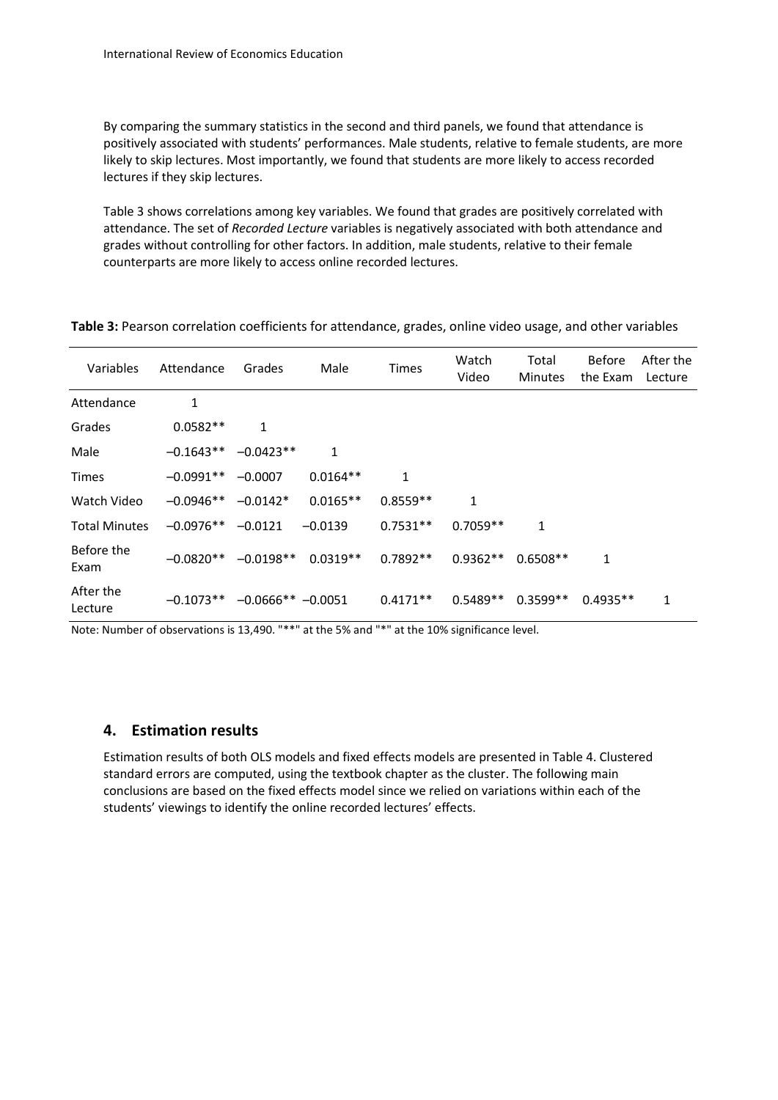By comparing the summary statistics in the second and third panels, we found that attendance is positively associated with students' performances. Male students, relative to female students, are more likely to skip lectures. Most importantly, we found that students are more likely to access recorded lectures if they skip lectures.

Table 3 shows correlations among key variables. We found that grades are positively correlated with attendance. The set of *Recorded Lecture* variables is negatively associated with both attendance and grades without controlling for other factors. In addition, male students, relative to their female counterparts are more likely to access online recorded lectures.

| Variables            | Attendance  | Grades                 | Male         | <b>Times</b> | Watch<br>Video | Total<br><b>Minutes</b> | <b>Before</b><br>the Exam | After the<br>Lecture |  |
|----------------------|-------------|------------------------|--------------|--------------|----------------|-------------------------|---------------------------|----------------------|--|
| Attendance           | 1           |                        |              |              |                |                         |                           |                      |  |
| Grades               | $0.0582**$  | 1                      |              |              |                |                         |                           |                      |  |
| Male                 | $-0.1643**$ | $-0.0423**$            | $\mathbf{1}$ |              |                |                         |                           |                      |  |
| <b>Times</b>         | $-0.0991**$ | $-0.0007$              | $0.0164**$   | $\mathbf{1}$ |                |                         |                           |                      |  |
| Watch Video          | $-0.0946**$ | $-0.0142*$             | $0.0165**$   | $0.8559**$   | $\mathbf{1}$   |                         |                           |                      |  |
| <b>Total Minutes</b> | $-0.0976**$ | $-0.0121$              | $-0.0139$    | $0.7531**$   | $0.7059**$     | 1                       |                           |                      |  |
| Before the<br>Exam   | $-0.0820**$ | $-0.0198**$            | $0.0319**$   | $0.7892**$   | $0.9362**$     | $0.6508**$              | 1                         |                      |  |
| After the<br>Lecture | $-0.1073**$ | $-0.0666$ ** $-0.0051$ |              | $0.4171**$   | $0.5489**$     | $0.3599**$              | $0.4935**$                | 1                    |  |

**Table 3:** Pearson correlation coefficients for attendance, grades, online video usage, and other variables

Note: Number of observations is 13,490. "\*\*" at the 5% and "\*" at the 10% significance level.

#### **4. Estimation results**

Estimation results of both OLS models and fixed effects models are presented in Table 4. Clustered standard errors are computed, using the textbook chapter as the cluster. The following main conclusions are based on the fixed effects model since we relied on variations within each of the students' viewings to identify the online recorded lectures' effects.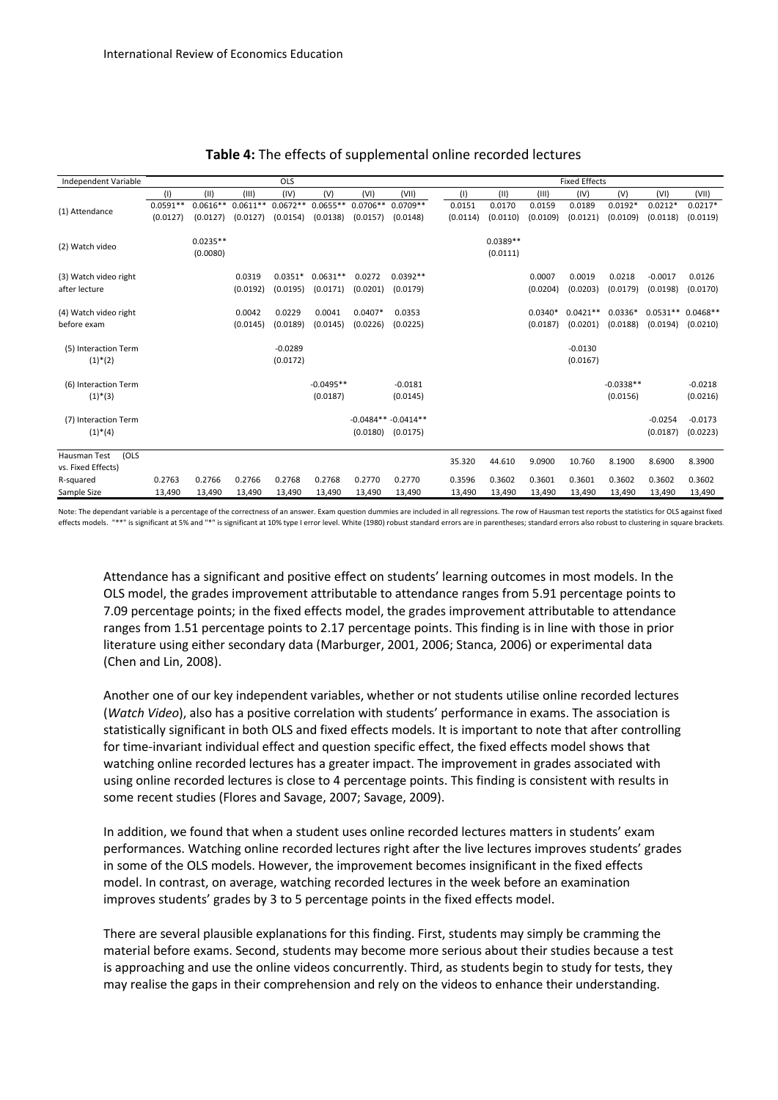| Independent Variable     |            |            |            | <b>OLS</b> |                    |           |                       |          |            |           | <b>Fixed Effects</b> |             |            |            |
|--------------------------|------------|------------|------------|------------|--------------------|-----------|-----------------------|----------|------------|-----------|----------------------|-------------|------------|------------|
|                          | (1)        | (11)       | (III)      | (IV)       | (V)                | (VI)      | (VII)                 | (1)      | (II)       | (III)     | (IV)                 | (V)         | (VI)       | (VII)      |
| (1) Attendance           | $0.0591**$ | $0.0616**$ | $0.0611**$ | $0.0672**$ | $0.0655**0.0706**$ |           | $0.0709**$            | 0.0151   | 0.0170     | 0.0159    | 0.0189               | $0.0192*$   | $0.0212*$  | $0.0217*$  |
|                          | (0.0127)   | (0.0127)   | (0.0127)   | (0.0154)   | (0.0138)           | (0.0157)  | (0.0148)              | (0.0114) | (0.0110)   | (0.0109)  | (0.0121)             | (0.0109)    | (0.0118)   | (0.0119)   |
|                          |            | $0.0235**$ |            |            |                    |           |                       |          | $0.0389**$ |           |                      |             |            |            |
| (2) Watch video          |            | (0.0080)   |            |            |                    |           |                       |          | (0.0111)   |           |                      |             |            |            |
| (3) Watch video right    |            |            | 0.0319     | $0.0351*$  | $0.0631**$         | 0.0272    | $0.0392**$            |          |            | 0.0007    | 0.0019               | 0.0218      | $-0.0017$  | 0.0126     |
| after lecture            |            |            | (0.0192)   | (0.0195)   | (0.0171)           | (0.0201)  | (0.0179)              |          |            | (0.0204)  | (0.0203)             | (0.0179)    | (0.0198)   | (0.0170)   |
|                          |            |            |            |            |                    |           |                       |          |            |           |                      |             |            |            |
| (4) Watch video right    |            |            | 0.0042     | 0.0229     | 0.0041             | $0.0407*$ | 0.0353                |          |            | $0.0340*$ | $0.0421**$           | $0.0336*$   | $0.0531**$ | $0.0468**$ |
| before exam              |            |            | (0.0145)   | (0.0189)   | (0.0145)           | (0.0226)  | (0.0225)              |          |            | (0.0187)  | (0.0201)             | (0.0188)    | (0.0194)   | (0.0210)   |
| (5) Interaction Term     |            |            |            | $-0.0289$  |                    |           |                       |          |            |           | $-0.0130$            |             |            |            |
| $(1)$ <sup>*</sup> $(2)$ |            |            |            | (0.0172)   |                    |           |                       |          |            |           | (0.0167)             |             |            |            |
| (6) Interaction Term     |            |            |            |            | $-0.0495**$        |           | $-0.0181$             |          |            |           |                      | $-0.0338**$ |            | $-0.0218$  |
| $(1)$ <sup>*</sup> $(3)$ |            |            |            |            | (0.0187)           |           | (0.0145)              |          |            |           |                      | (0.0156)    |            | (0.0216)   |
|                          |            |            |            |            |                    |           |                       |          |            |           |                      |             |            |            |
| (7) Interaction Term     |            |            |            |            |                    |           | $-0.0484** -0.0414**$ |          |            |           |                      |             | $-0.0254$  | $-0.0173$  |
| $(1)$ <sup>*</sup> $(4)$ |            |            |            |            |                    | (0.0180)  | (0.0175)              |          |            |           |                      |             | (0.0187)   | (0.0223)   |
| (OLS<br>Hausman Test     |            |            |            |            |                    |           |                       | 35.320   | 44.610     | 9.0900    | 10.760               | 8.1900      | 8.6900     | 8.3900     |
| vs. Fixed Effects)       |            |            |            |            |                    |           |                       |          |            |           |                      |             |            |            |
| R-squared                | 0.2763     | 0.2766     | 0.2766     | 0.2768     | 0.2768             | 0.2770    | 0.2770                | 0.3596   | 0.3602     | 0.3601    | 0.3601               | 0.3602      | 0.3602     | 0.3602     |
| Sample Size              | 13,490     | 13,490     | 13,490     | 13,490     | 13,490             | 13,490    | 13,490                | 13,490   | 13,490     | 13,490    | 13,490               | 13,490      | 13,490     | 13,490     |

#### **Table 4:** The effects of supplemental online recorded lectures

Note: The dependant variable is a percentage of the correctness of an answer. Exam question dummies are included in all regressions. The row of Hausman test reports the statistics for OLS against fixed effects models. "\*\*" is significant at 5% and "\*" is significant at 10% type I error level. White (1980) robust standard errors are in parentheses; standard errors also robust to clustering in square brackets.

Attendance has a significant and positive effect on students' learning outcomes in most models. In the OLS model, the grades improvement attributable to attendance ranges from 5.91 percentage points to 7.09 percentage points; in the fixed effects model, the grades improvement attributable to attendance ranges from 1.51 percentage points to 2.17 percentage points. This finding is in line with those in prior literature using either secondary data (Marburger, 2001, 2006; Stanca, 2006) or experimental data (Chen and Lin, 2008).

Another one of our key independent variables, whether or not students utilise online recorded lectures (*Watch Video*), also has a positive correlation with students' performance in exams. The association is statistically significant in both OLS and fixed effects models. It is important to note that after controlling for time-invariant individual effect and question specific effect, the fixed effects model shows that watching online recorded lectures has a greater impact. The improvement in grades associated with using online recorded lectures is close to 4 percentage points. This finding is consistent with results in some recent studies (Flores and Savage, 2007; Savage, 2009).

In addition, we found that when a student uses online recorded lectures matters in students' exam performances. Watching online recorded lectures right after the live lectures improves students' grades in some of the OLS models. However, the improvement becomes insignificant in the fixed effects model. In contrast, on average, watching recorded lectures in the week before an examination improves students' grades by 3 to 5 percentage points in the fixed effects model.

There are several plausible explanations for this finding. First, students may simply be cramming the material before exams. Second, students may become more serious about their studies because a test is approaching and use the online videos concurrently. Third, as students begin to study for tests, they may realise the gaps in their comprehension and rely on the videos to enhance their understanding.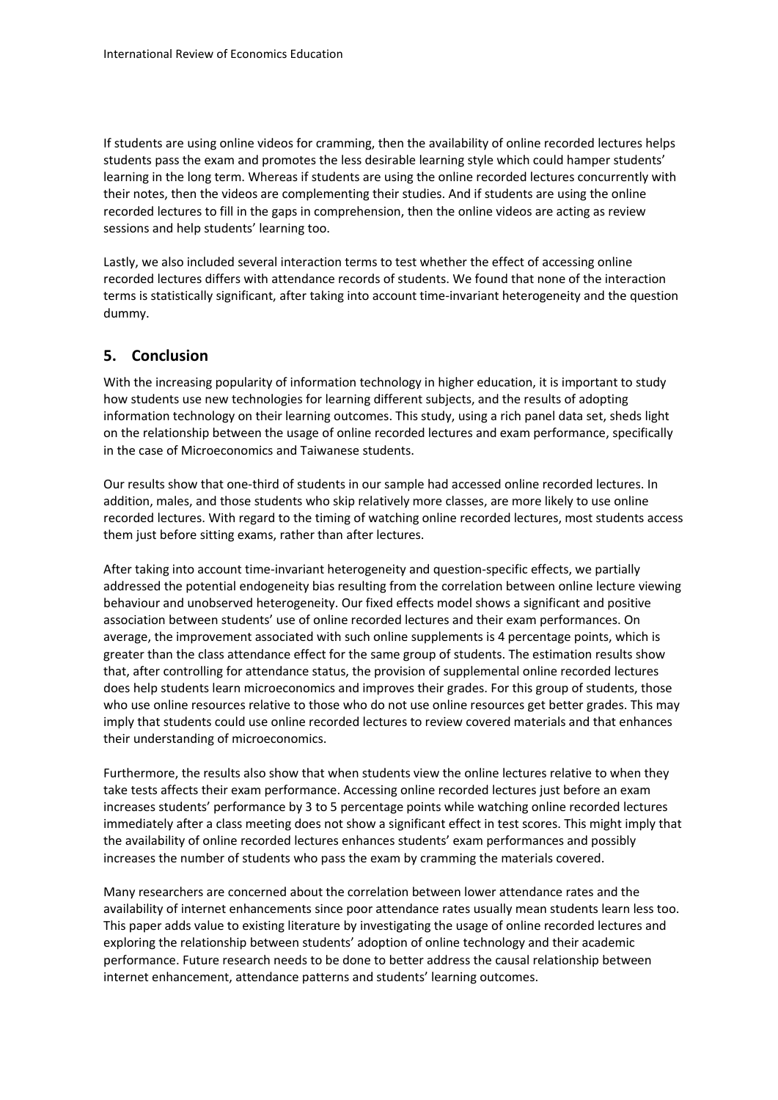If students are using online videos for cramming, then the availability of online recorded lectures helps students pass the exam and promotes the less desirable learning style which could hamper students' learning in the long term. Whereas if students are using the online recorded lectures concurrently with their notes, then the videos are complementing their studies. And if students are using the online recorded lectures to fill in the gaps in comprehension, then the online videos are acting as review sessions and help students' learning too.

Lastly, we also included several interaction terms to test whether the effect of accessing online recorded lectures differs with attendance records of students. We found that none of the interaction terms is statistically significant, after taking into account time-invariant heterogeneity and the question dummy.

### **5. Conclusion**

With the increasing popularity of information technology in higher education, it is important to study how students use new technologies for learning different subjects, and the results of adopting information technology on their learning outcomes. This study, using a rich panel data set, sheds light on the relationship between the usage of online recorded lectures and exam performance, specifically in the case of Microeconomics and Taiwanese students.

Our results show that one-third of students in our sample had accessed online recorded lectures. In addition, males, and those students who skip relatively more classes, are more likely to use online recorded lectures. With regard to the timing of watching online recorded lectures, most students access them just before sitting exams, rather than after lectures.

After taking into account time-invariant heterogeneity and question-specific effects, we partially addressed the potential endogeneity bias resulting from the correlation between online lecture viewing behaviour and unobserved heterogeneity. Our fixed effects model shows a significant and positive association between students' use of online recorded lectures and their exam performances. On average, the improvement associated with such online supplements is 4 percentage points, which is greater than the class attendance effect for the same group of students. The estimation results show that, after controlling for attendance status, the provision of supplemental online recorded lectures does help students learn microeconomics and improves their grades. For this group of students, those who use online resources relative to those who do not use online resources get better grades. This may imply that students could use online recorded lectures to review covered materials and that enhances their understanding of microeconomics.

Furthermore, the results also show that when students view the online lectures relative to when they take tests affects their exam performance. Accessing online recorded lectures just before an exam increases students' performance by 3 to 5 percentage points while watching online recorded lectures immediately after a class meeting does not show a significant effect in test scores. This might imply that the availability of online recorded lectures enhances students' exam performances and possibly increases the number of students who pass the exam by cramming the materials covered.

Many researchers are concerned about the correlation between lower attendance rates and the availability of internet enhancements since poor attendance rates usually mean students learn less too. This paper adds value to existing literature by investigating the usage of online recorded lectures and exploring the relationship between students' adoption of online technology and their academic performance. Future research needs to be done to better address the causal relationship between internet enhancement, attendance patterns and students' learning outcomes.